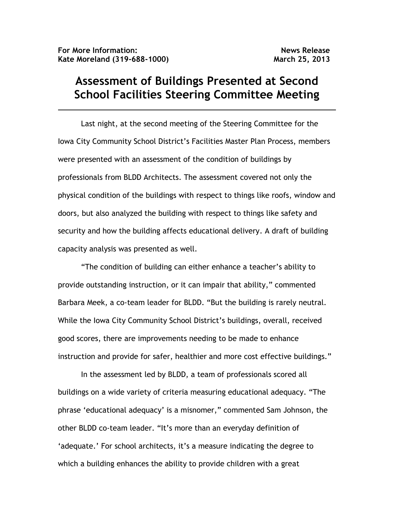## **Assessment of Buildings Presented at Second School Facilities Steering Committee Meeting**

 Last night, at the second meeting of the Steering Committee for the Iowa City Community School District's Facilities Master Plan Process, members were presented with an assessment of the condition of buildings by professionals from BLDD Architects. The assessment covered not only the physical condition of the buildings with respect to things like roofs, window and doors, but also analyzed the building with respect to things like safety and security and how the building affects educational delivery. A draft of building capacity analysis was presented as well.

"The condition of building can either enhance a teacher's ability to provide outstanding instruction, or it can impair that ability," commented Barbara Meek, a co-team leader for BLDD. "But the building is rarely neutral. While the Iowa City Community School District's buildings, overall, received good scores, there are improvements needing to be made to enhance instruction and provide for safer, healthier and more cost effective buildings."

 In the assessment led by BLDD, a team of professionals scored all buildings on a wide variety of criteria measuring educational adequacy. "The phrase 'educational adequacy' is a misnomer," commented Sam Johnson, the other BLDD co-team leader. "It's more than an everyday definition of 'adequate.' For school architects, it's a measure indicating the degree to which a building enhances the ability to provide children with a great